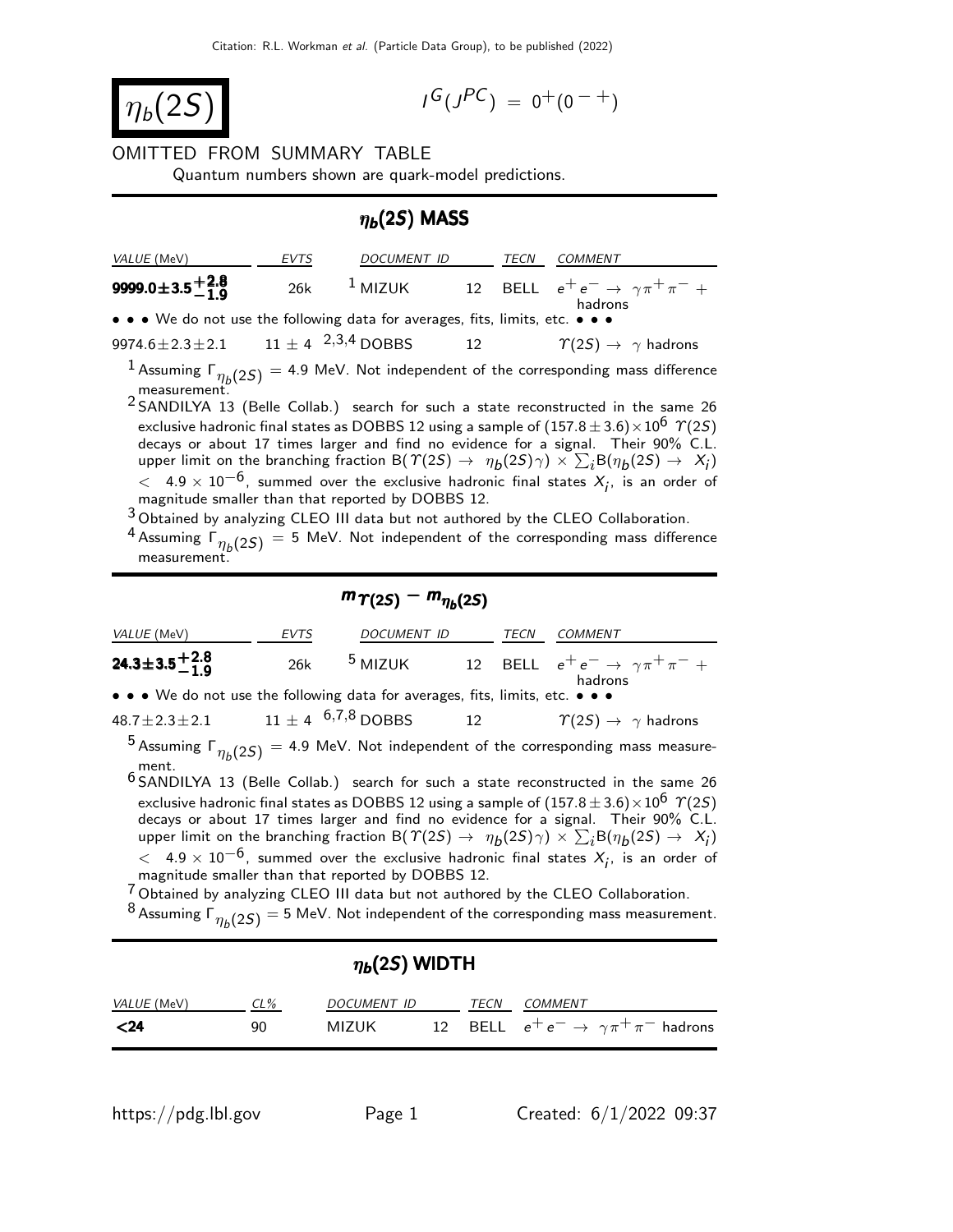$$
\boxed{\eta_b(2S)}
$$

$$
I^G(J^{PC}) = 0^+(0^{-+})
$$

## OMITTED FROM SUMMARY TABLE

Quantum numbers shown are quark-model predictions.

### $\eta_b(2S)$  MASS

| <i>VALUE</i> (MeV)                                                            | EVTS | DOCUMENT ID   | TECN | COMMENT                                                      |
|-------------------------------------------------------------------------------|------|---------------|------|--------------------------------------------------------------|
| 9999.0 $\pm$ 3.5 $^{+2.8}_{-1.9}$                                             |      | 26k $1$ MIZUK |      | 12 BELL $e^+e^- \rightarrow \gamma \pi^+ \pi^- +$<br>hadrons |
| • • • We do not use the following data for averages, fits, limits, etc. • • • |      |               |      |                                                              |

| $11 \pm 4$ <sup>2,3,4</sup> DOBBS<br>9974.6 $\pm$ 2.3 $\pm$ 2.1<br>$\gamma(2S) \rightarrow \gamma$ hadrons |
|------------------------------------------------------------------------------------------------------------|
|------------------------------------------------------------------------------------------------------------|

 $^1$  Assuming  $\mathsf{\Gamma}_{\eta_b(2S)}$  = 4.9 MeV. Not independent of the corresponding mass difference measurement.

2 SANDILYA 13 (Belle Collab.) search for such a state reconstructed in the same 26 exclusive hadronic final states as DOBBS 12 using a sample of  $(157.8 \pm 3.6) \times 10^6$   $\Upsilon(25)$ decays or about 17 times larger and find no evidence for a signal. Their 90% C.L. upper limit on the branching fraction B( $\Upsilon(2S) \to \eta_b(2S) \gamma$ )  $\times \sum_i B(\eta_b(2S) \to X_i)$  $<$  4.9  $\times$  10<sup>-6</sup>, summed over the exclusive hadronic final states  $X_i$ , is an order of magnitude smaller than that reported by DOBBS 12.

3 Obtained by analyzing CLEO III data but not authored by the CLEO Collaboration.

<sup>4</sup> Assuming  $\Gamma_{\eta_b(2S)}=$  5 MeV. Not independent of the corresponding mass difference measurement.

# $m_{\Upsilon(2S)} - m_{\eta_b(2S)}$

| VALUE (MeV)                                                                                                | EVTS | DOCUMENT ID |  | TECN | <b>COMMENT</b>                                                                  |  |
|------------------------------------------------------------------------------------------------------------|------|-------------|--|------|---------------------------------------------------------------------------------|--|
| 24.3±3.5 <sup>+2.8</sup>                                                                                   | 26k  |             |  |      | <sup>5</sup> MIZUK 12 BELL $e^+e^- \rightarrow \gamma \pi^+ \pi^- +$<br>hadrons |  |
| • • • We do not use the following data for averages, fits, limits, etc. • • •                              |      |             |  |      |                                                                                 |  |
| $48.7 \pm 2.3 \pm 2.1$ $11 \pm 4$ $6,7,8$ DOBBS                                                            |      |             |  |      | 12 $\varUpsilon(2S) \rightarrow \gamma$ hadrons                                 |  |
| <sup>5</sup> Assuming $\Gamma_{n h}$ (25) = 4.9 MeV. Not independent of the corresponding mass measure-    |      |             |  |      |                                                                                 |  |
| ment.<br>$6$ SANDILYA 13 (Belle Collab.) search for such a state reconstructed in the same 26              |      |             |  |      |                                                                                 |  |
| exclusive hadronic final states as DOBBS 12 using a sample of $(157.8 \pm 3.6) \times 10^6$ $\Upsilon(25)$ |      |             |  |      |                                                                                 |  |

decays or about 17 times larger and find no evidence for a signal. Their 90% C.L. upper limit on the branching fraction B( $\Upsilon(2S) \to \eta_b(2S) \gamma$ )  $\times \sum_i B(\eta_b(2S) \to X_i)$  $<$  4.9  $\times$  10<sup>-6</sup>, summed over the exclusive hadronic final states  $X_i$ , is an order of magnitude smaller than that reported by DOBBS 12.

<sup>7</sup> Obtained by analyzing CLEO III data but not authored by the CLEO Collaboration.

 $^8$  Assuming  $\Gamma_{\eta_b(2S)}$   $=$  5 MeV. Not independent of the corresponding mass measurement.

| $\eta_b(2S)$ WIDTH |        |             |  |      |                                                         |  |
|--------------------|--------|-------------|--|------|---------------------------------------------------------|--|
| <i>VALUE</i> (MeV) | $CL\%$ | DOCUMENT ID |  | TECN | <i>COMMENT</i>                                          |  |
| $24$               | 90     | MIZUK       |  |      | 12 BELL $e^+e^- \rightarrow \gamma \pi^+ \pi^-$ hadrons |  |